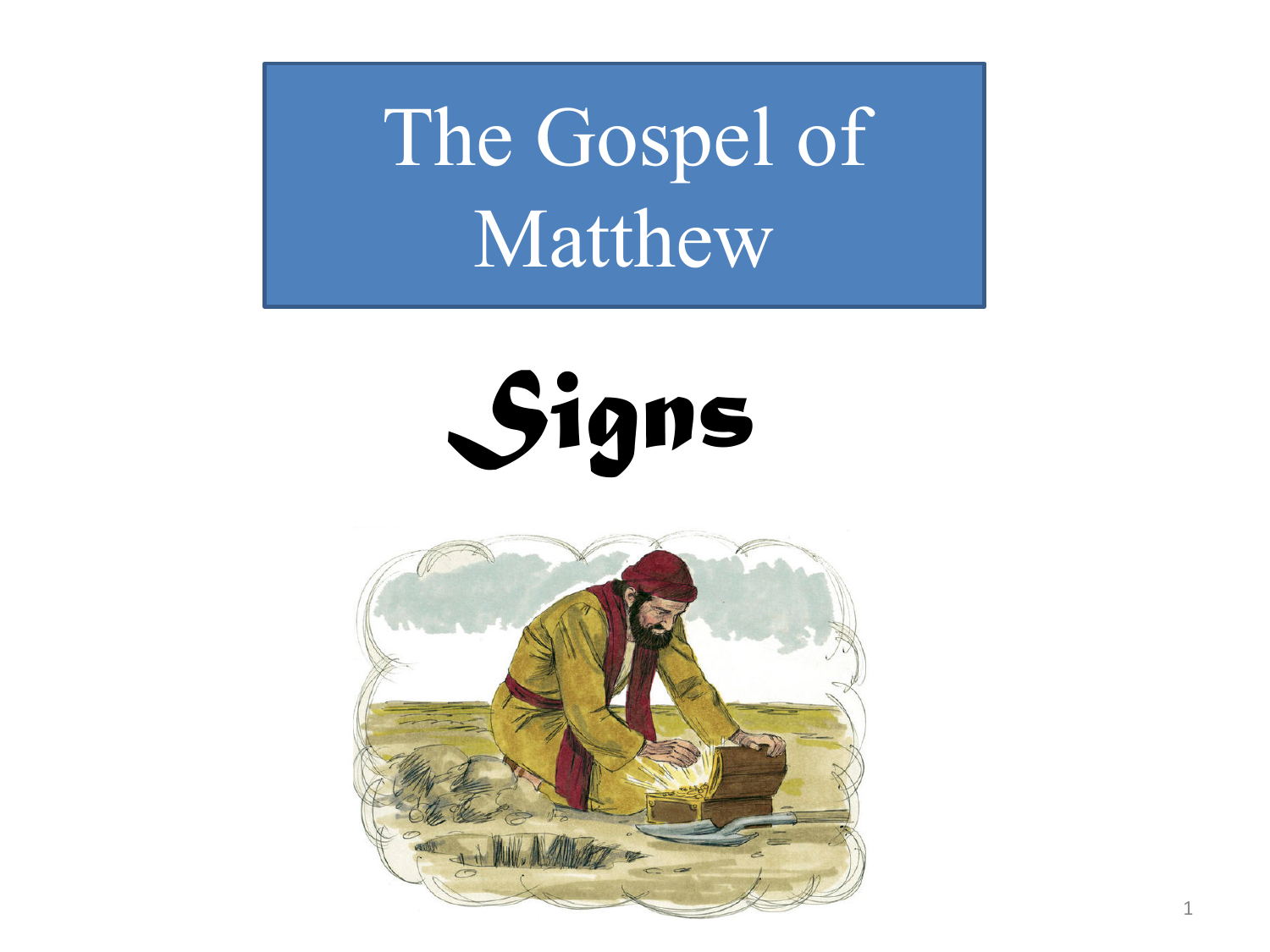The Gospel of Matthew



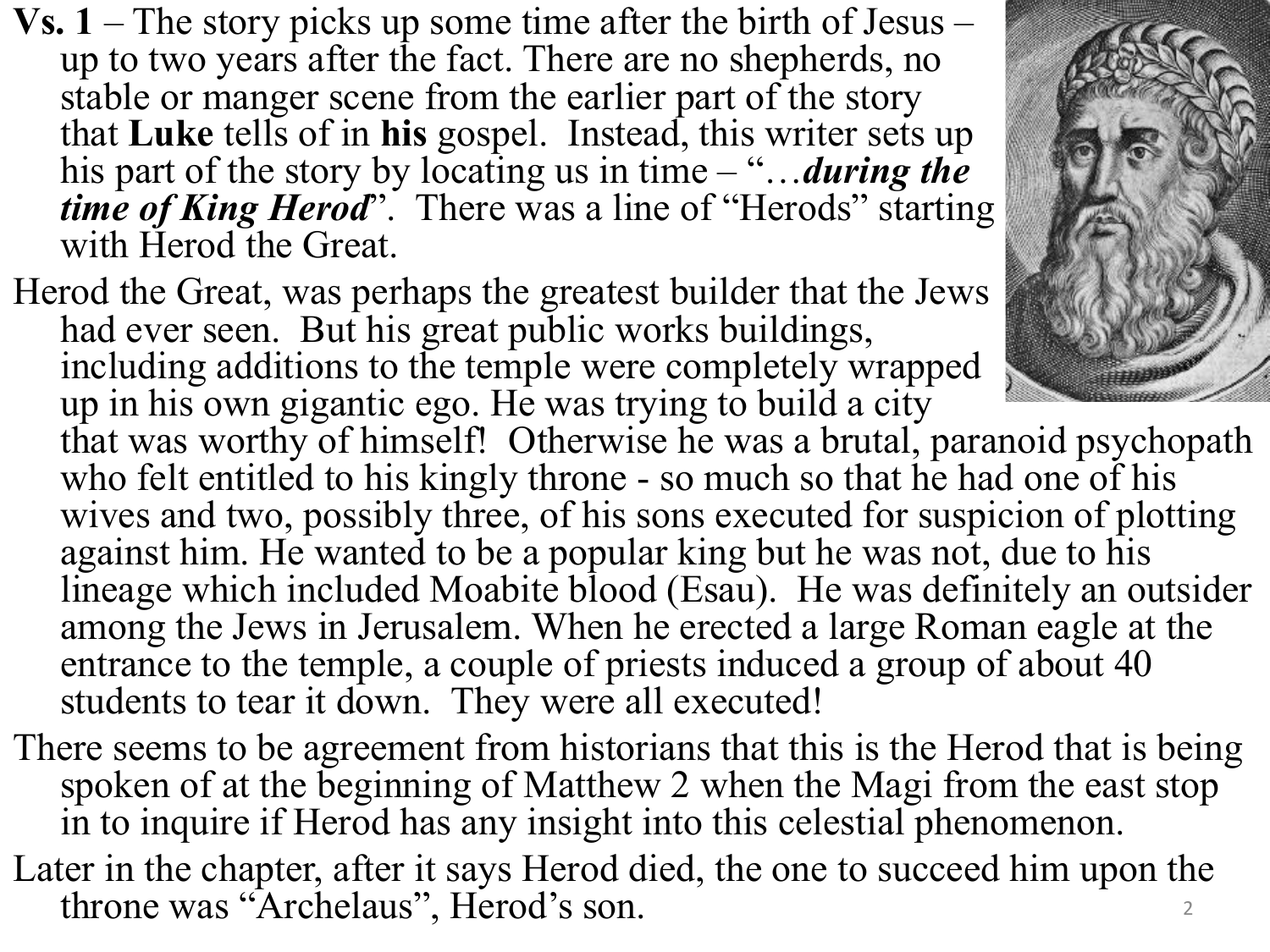- **Vs. 1**  The story picks up some time after the birth of Jesus up to two years after the fact. There are no shepherds, no stable or manger scene from the earlier part of the story that **Luke** tells of in **his** gospel. Instead, this writer sets up his part of the story by locating us in time – "…*during the time of King Herod*". There was a line of "Herods" starting with Herod the Great.
- Herod the Great, was perhaps the greatest builder that the Jews had ever seen. But his great public works buildings, including additions to the temple were completely wrapped up in his own gigantic ego. He was trying to build a city that was worthy of himself! Otherwise he was a brutal, paranoid psychopath who felt entitled to his kingly throne - so much so that he had one of his wives and two, possibly three, of his sons executed for suspicion of plotting against him. He wanted to be a popular king but he was not, due to his lineage which included Moabite blood (Esau). He was definitely an outsider among the Jews in Jerusalem. When he erected a large Roman eagle at the entrance to the temple, a couple of priests induced a group of about 40 students to tear it down. They were all executed!
- There seems to be agreement from historians that this is the Herod that is being spoken of at the beginning of Matthew 2 when the Magi from the east stop in to inquire if Herod has any insight into this celestial phenomenon.
- Later in the chapter, after it says Herod died, the one to succeed him upon the throne was "Archelaus", Herod's son.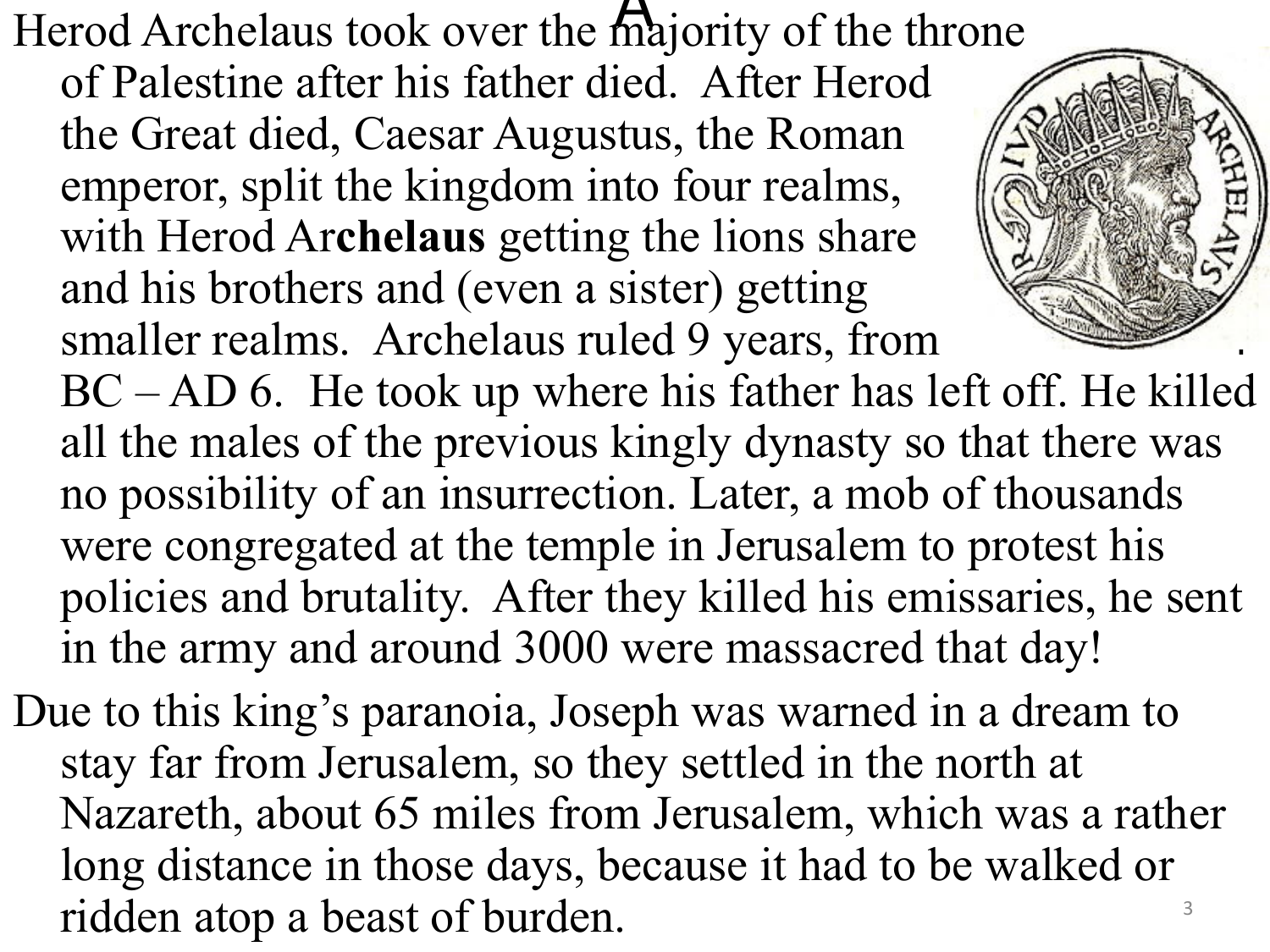Herod Archelaus took over the majority of the throne of Palestine after his father died. After Herod the Great died, Caesar Augustus, the Roman emperor, split the kingdom into four realms, with Herod Ar**chelaus** getting the lions share and his brothers and (even a sister) getting smaller realms. Archelaus ruled 9 years, from BC – AD 6. He took up where his father has left off. He killed all the males of the previous kingly dynasty so that there was no possibility of an insurrection. Later, a mob of thousands were congregated at the temple in Jerusalem to protest his policies and brutality. After they killed his emissaries, he sent

in the army and around 3000 were massacred that day!

Due to this king's paranoia, Joseph was warned in a dream to stay far from Jerusalem, so they settled in the north at Nazareth, about 65 miles from Jerusalem, which was a rather long distance in those days, because it had to be walked or ridden atop a beast of burden.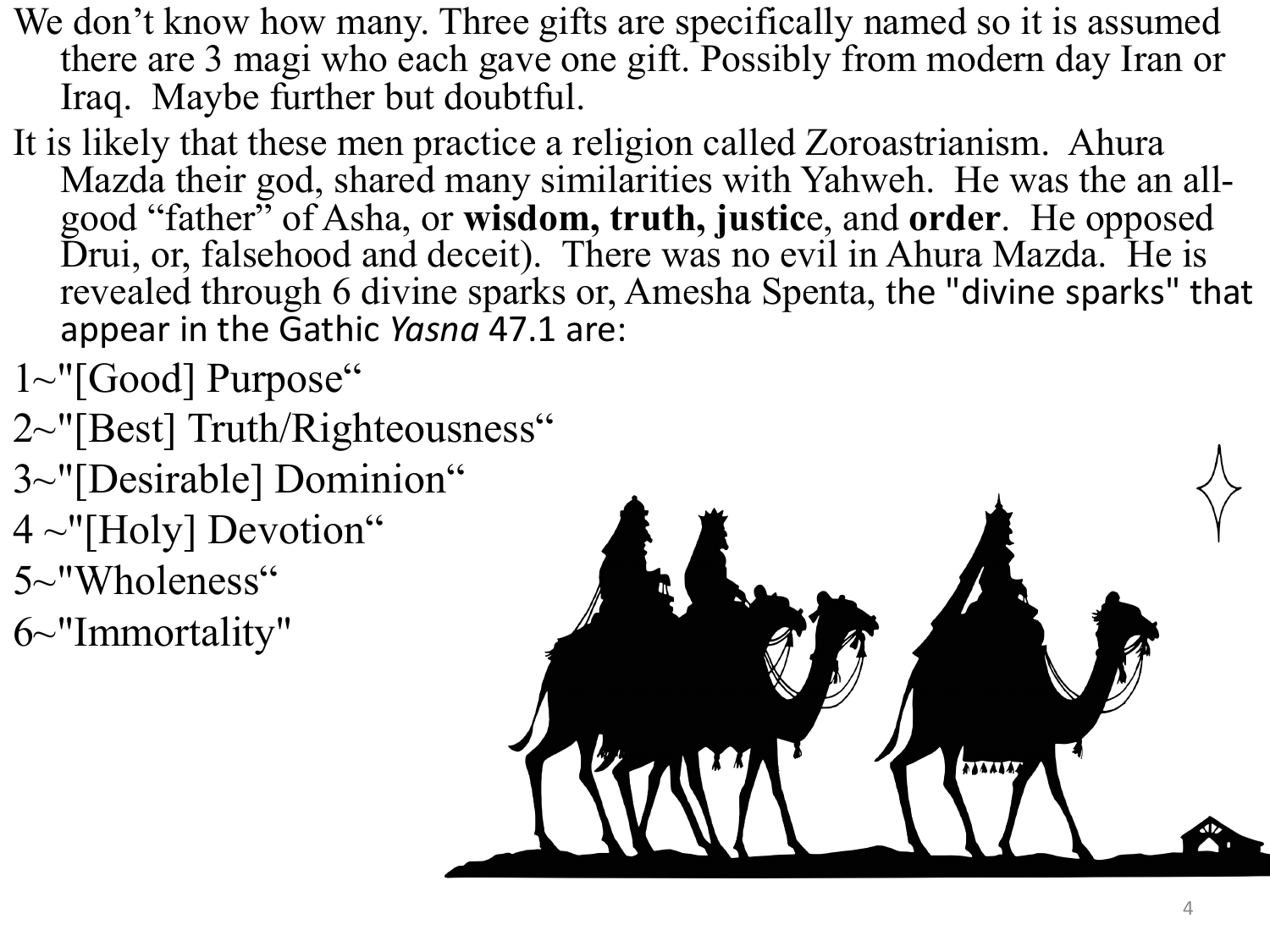- We don't know how many. Three gifts are specifically named so it is assumed there are 3 magi who each gave one gift. Possibly from modern day Iran or Iraq. Maybe further but doubtful.
- It is likely that these men practice a religion called Zoroastrianism. Ahura<br>Mazda their god, shared many similarities with Yahweh. He was the an allgood "father" of Asha, or **wisdom, truth, justic**e, and **order**. He opposed Drui, or, falsehood and deceit). There was no evil in Ahura Mazda. He is revealed through 6 divine sparks or, Amesha Spenta, the "divine sparks" that appear in the Gathic *Yasna* 47.1 are:
- 1~"[Good] Purpose"
- 2~"[Best] Truth/Righteousness"
- 3~"[Desirable] Dominion"
- $4 \sim$ "[Holy] Devotion"
- 5~"Wholeness"
- 6~"Immortality"

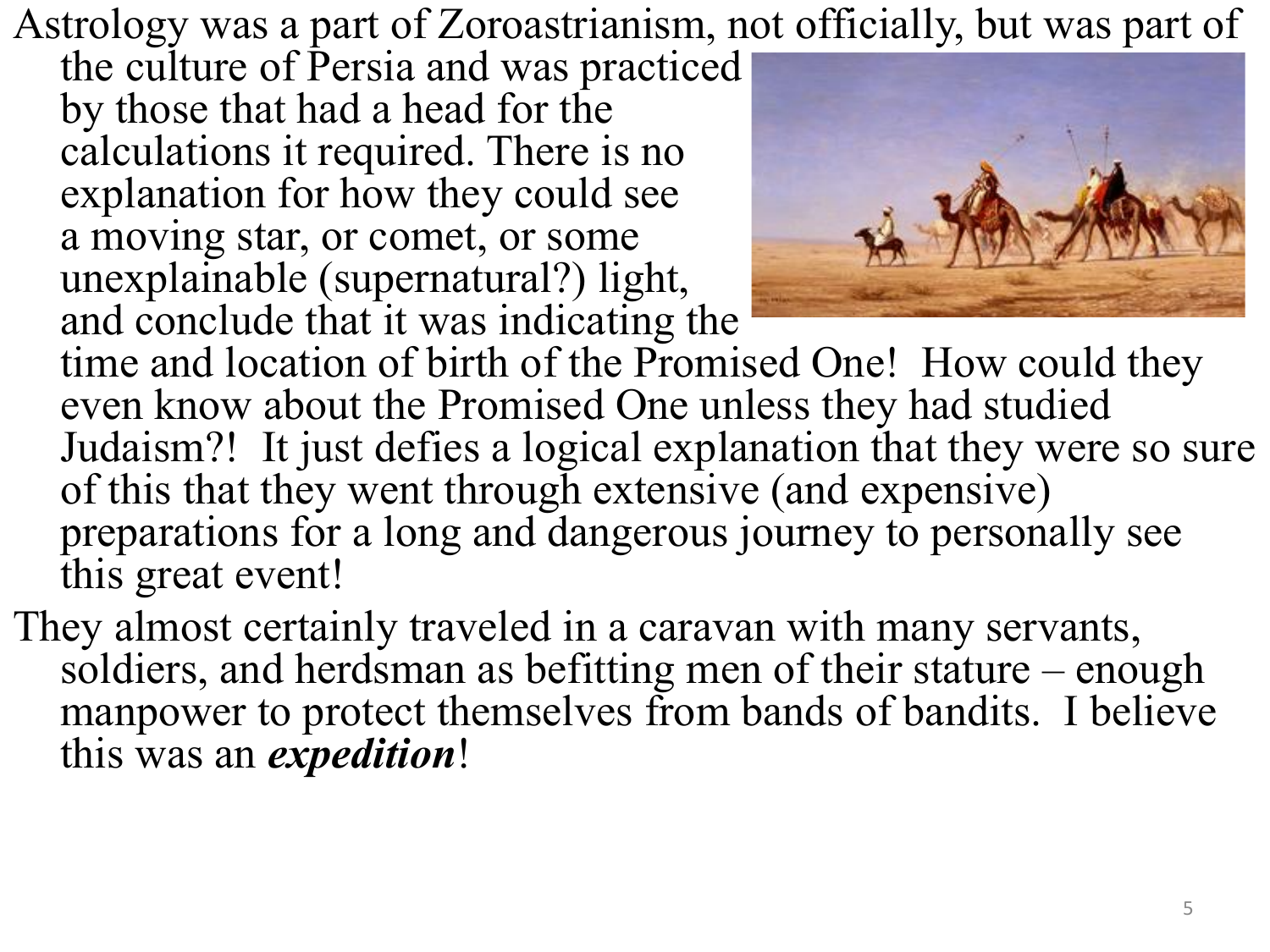Astrology was a part of Zoroastrianism, not officially, but was part of

the culture of Persia and was practiced by those that had a head for the calculations it required. There is no explanation for how they could see a moving star, or comet, or some unexplainable (supernatural?) light, and conclude that it was indicating the



time and location of birth of the Promised One! How could they even know about the Promised One unless they had studied Judaism?! It just defies a logical explanation that they were so sure of this that they went through extensive (and expensive) preparations for a long and dangerous journey to personally see this great event!

They almost certainly traveled in a caravan with many servants, soldiers, and herdsman as befitting men of their stature – enough manpower to protect themselves from bands of bandits. I believe this was an *expedition*!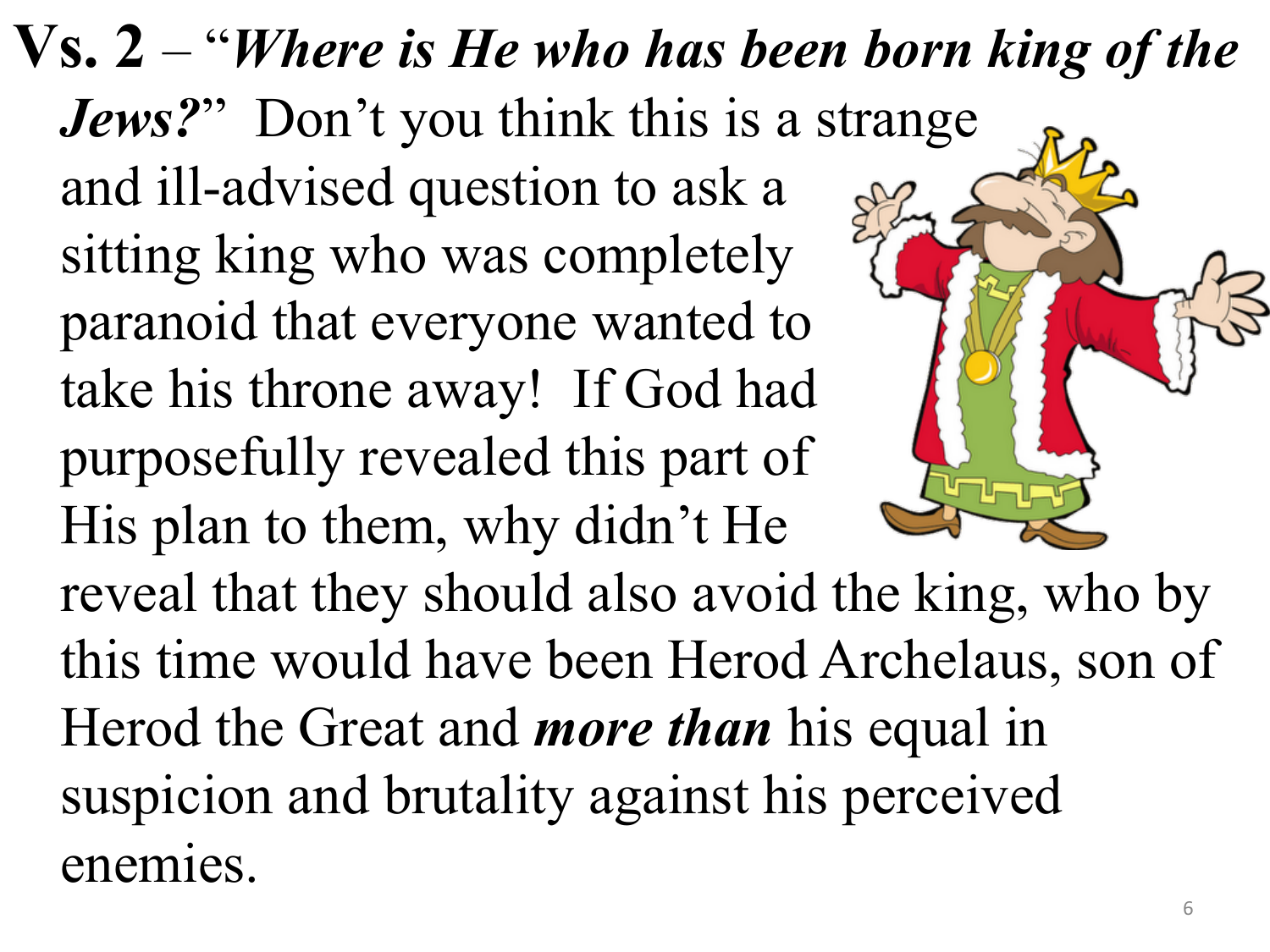**Vs. 2** – "*Where is He who has been born king of the Jews?*" Don't you think this is a strange and ill-advised question to ask a sitting king who was completely paranoid that everyone wanted to take his throne away! If God had purposefully revealed this part of His plan to them, why didn't He reveal that they should also avoid the king, who by this time would have been Herod Archelaus, son of Herod the Great and *more than* his equal in suspicion and brutality against his perceived enemies.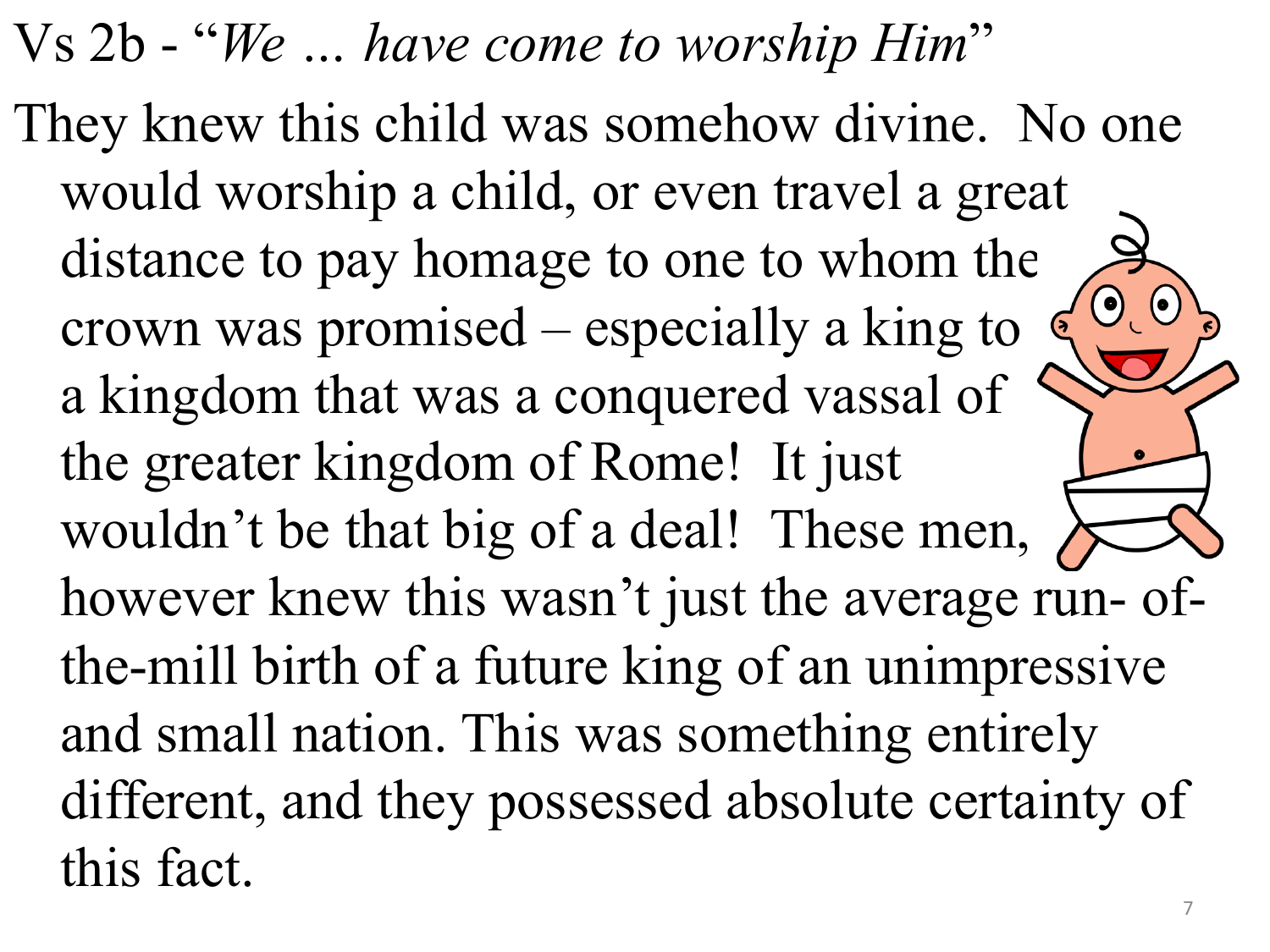Vs 2b - "*We … have come to worship Him*" They knew this child was somehow divine. No one would worship a child, or even travel a great distance to pay homage to one to whom the  $\bullet$   $\bullet$ crown was promised – especially a king to  $\epsilon$ a kingdom that was a conquered vassal of the greater kingdom of Rome! It just wouldn't be that big of a deal! These men, however knew this wasn't just the average run- ofthe-mill birth of a future king of an unimpressive and small nation. This was something entirely different, and they possessed absolute certainty of this fact.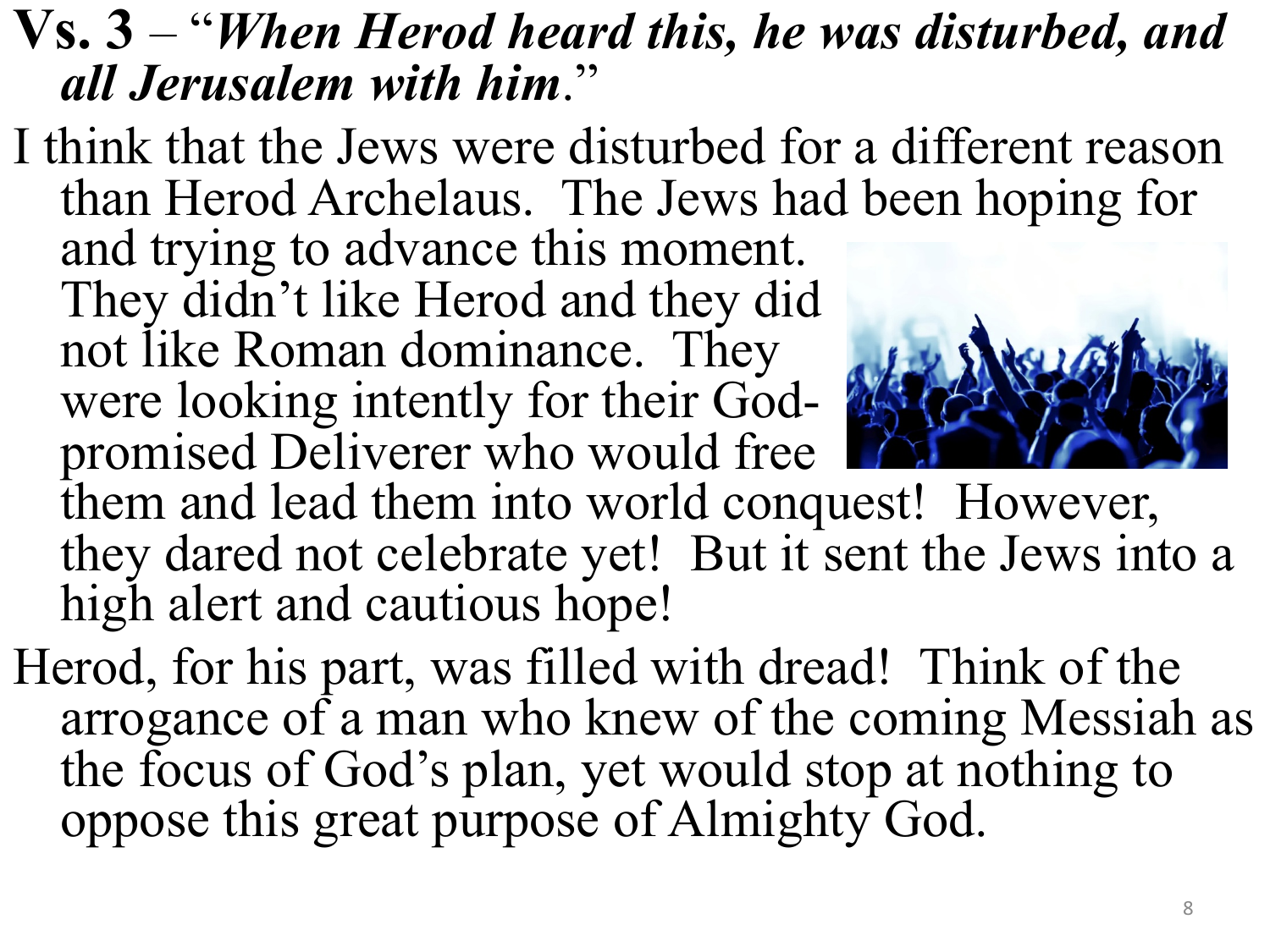## **Vs. 3** – "*When Herod heard this, he was disturbed, and all Jerusalem with him*."

I think that the Jews were disturbed for a different reason than Herod Archelaus. The Jews had been hoping for and trying to advance this moment. They didn't like Herod and they did not like Roman dominance. They

were looking intently for their God-<br>promised Deliverer who would free



them and lead them into world conquest! However, they dared not celebrate yet! But it sent the Jews into a high alert and cautious hope!

Herod, for his part, was filled with dread! Think of the arrogance of a man who knew of the coming Messiah as the focus of God's plan, yet would stop at nothing to oppose this great purpose of Almighty God.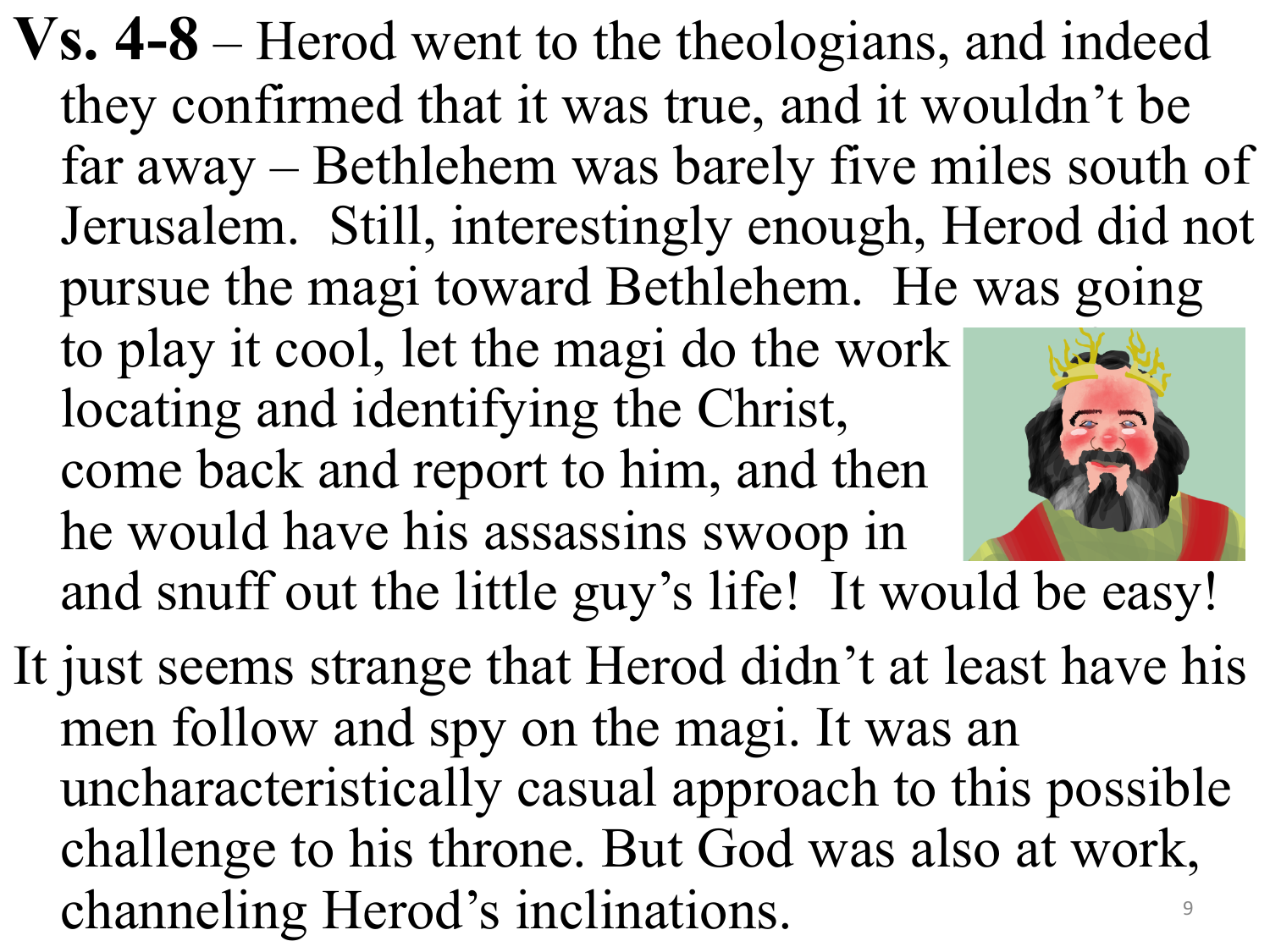- **Vs. 4-8** Herod went to the theologians, and indeed they confirmed that it was true, and it wouldn't be far away – Bethlehem was barely five miles south of Jerusalem. Still, interestingly enough, Herod did not pursue the magi toward Bethlehem. He was going to play it cool, let the magi do the work locating and identifying the Christ, come back and report to him, and then he would have his assassins swoop in and snuff out the little guy's life! It would be easy!
- It just seems strange that Herod didn't at least have his men follow and spy on the magi. It was an uncharacteristically casual approach to this possible challenge to his throne. But God was also at work, channeling Herod's inclinations.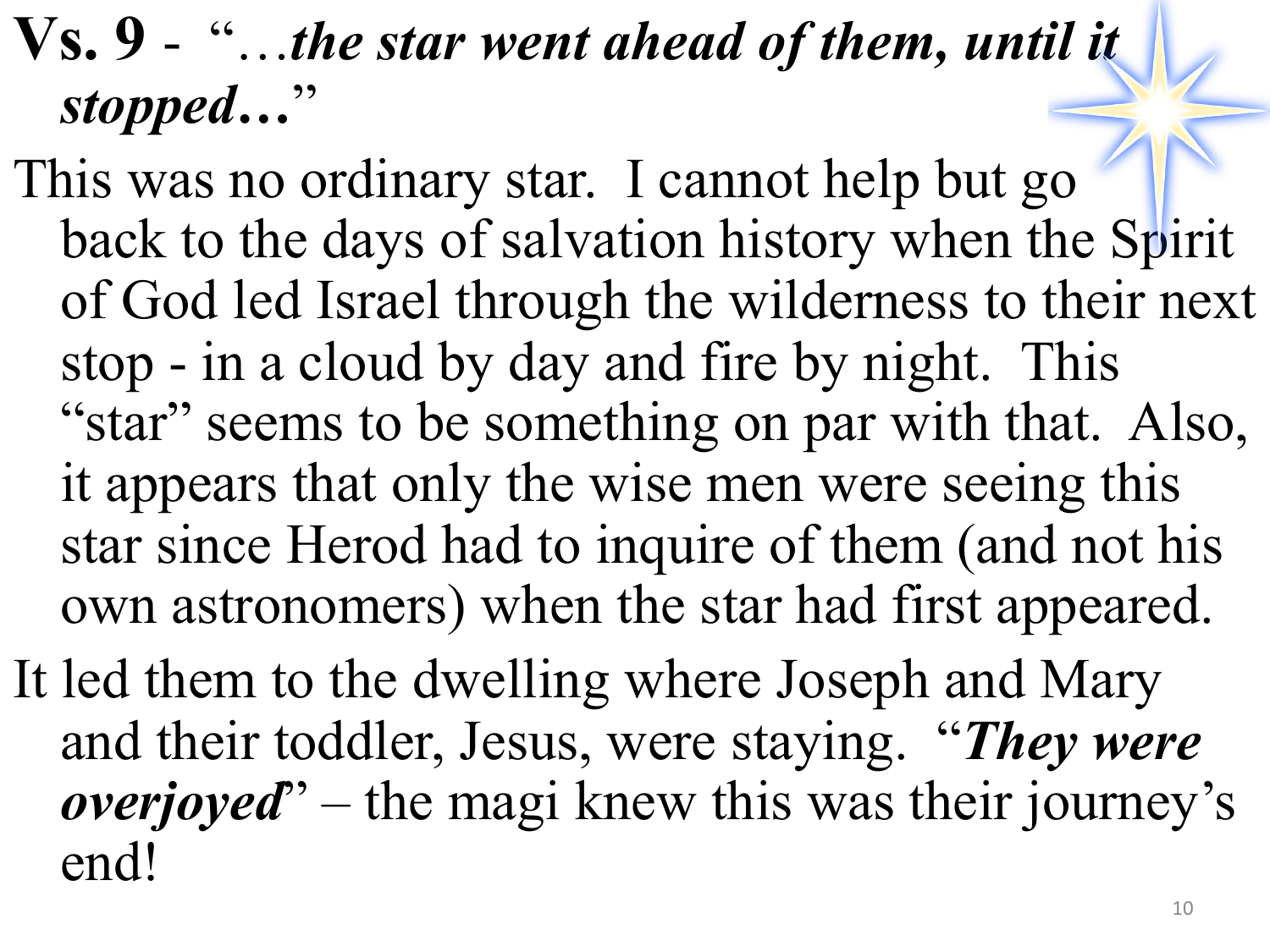## **Vs. 9** - "…*the star went ahead of them, until it stopped…*"

- This was no ordinary star. I cannot help but go back to the days of salvation history when the Spirit of God led Israel through the wilderness to their next stop - in a cloud by day and fire by night. This "star" seems to be something on par with that. Also, it appears that only the wise men were seeing this star since Herod had to inquire of them (and not his own astronomers) when the star had first appeared.
- It led them to the dwelling where Joseph and Mary and their toddler, Jesus, were staying. "*They were overjoyed*" – the magi knew this was their journey's end!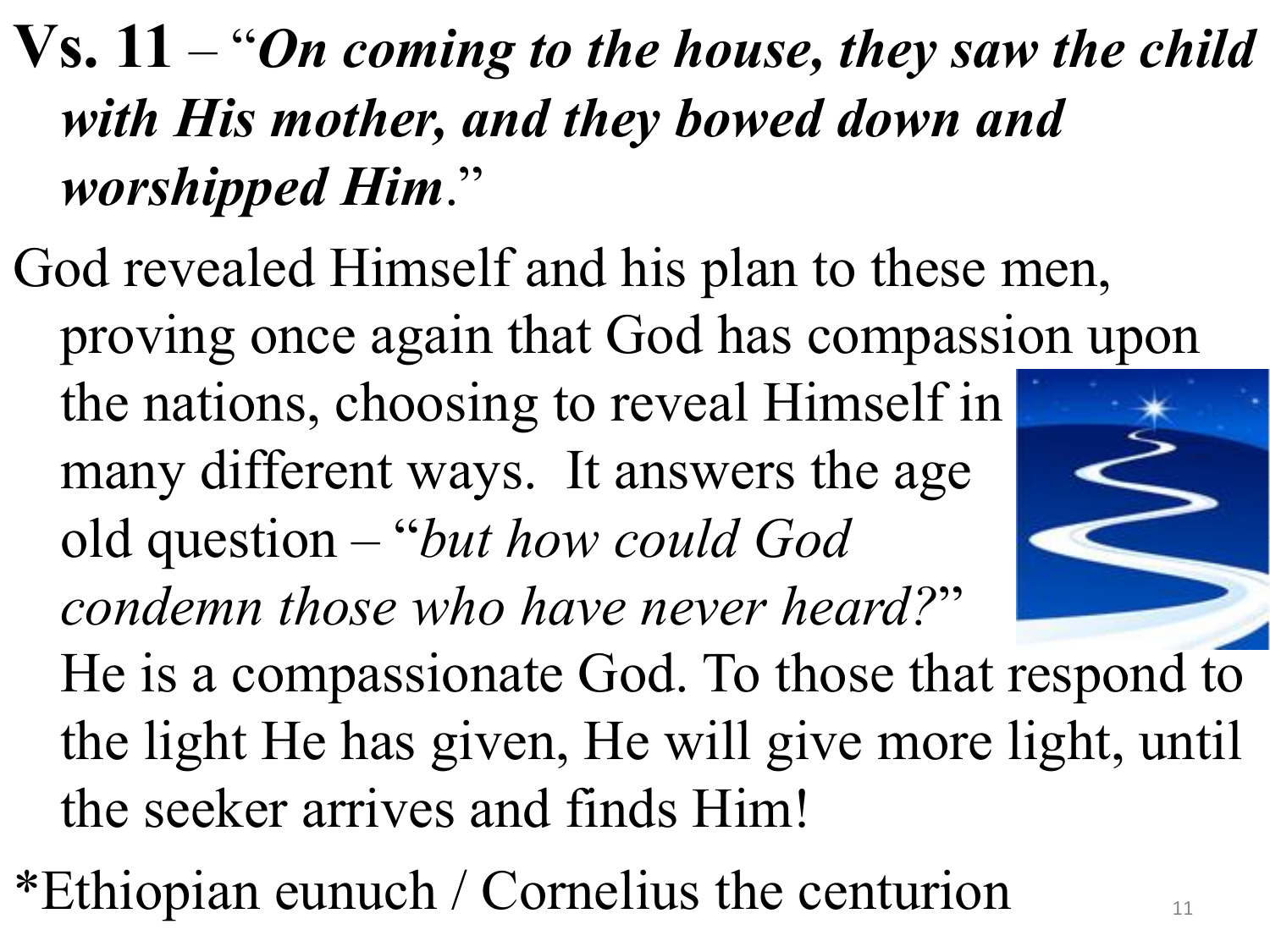## **Vs. 11** – "*On coming to the house, they saw the child with His mother, and they bowed down and worshipped Him*."

- God revealed Himself and his plan to these men, proving once again that God has compassion upon the nations, choosing to reveal Himself in many different ways. It answers the age old question – "*but how could God condemn those who have never heard?*" He is a compassionate God. To those that respond to the light He has given, He will give more light, until the seeker arrives and finds Him!
- \*Ethiopian eunuch / Cornelius the centurion  $\mathbb{I}_1$